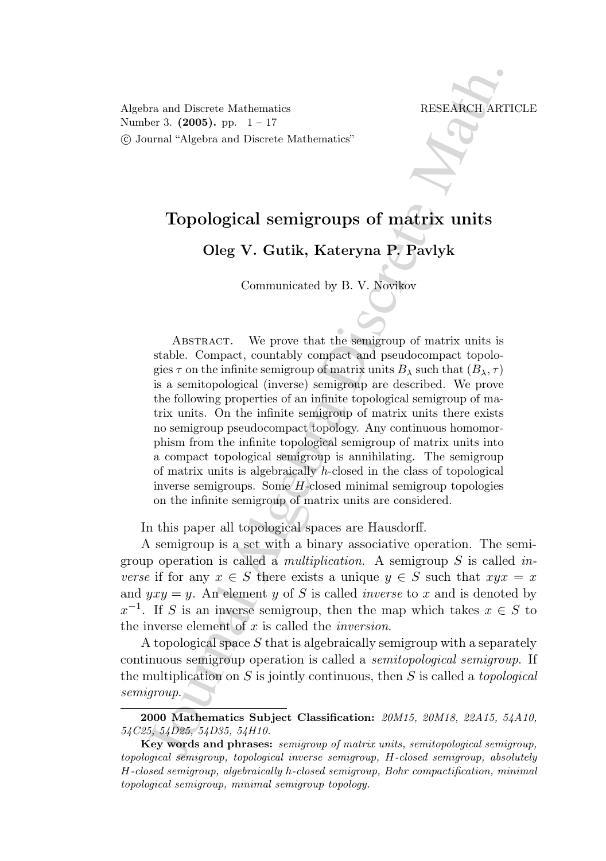Algebra and Discrete Mathematics RESEARCH ARTICLE Number 3.  $(2005)$ . pp.  $1 - 17$ c Journal "Algebra and Discrete Mathematics"

# Topological semigroups of matrix units

Oleg V. Gutik, Kateryna P. Pavlyk

Communicated by B. V. Novikov

From the Mathematics<br>
The Tass (2005), pp. 1–17<br>
Transl "Algebra and Discrete Mathematics"<br>
The Mathematics"<br>
Topological semnigroups of matrix units<br>
Oleg V. Gutik, Kateryna P, Pavlyk<br>
Communicated by B. V. Novikov<br>
Comm ABSTRACT. We prove that the semigroup of matrix units is stable. Compact, countably compact and pseudocompact topologies  $\tau$  on the infinite semigroup of matrix units  $B_\lambda$  such that  $(B_\lambda, \tau)$ is a semitopological (inverse) semigroup are described. We prove the following properties of an infinite topological semigroup of matrix units. On the infinite semigroup of matrix units there exists no semigroup pseudocompact topology. Any continuous homomorphism from the infinite topological semigroup of matrix units into a compact topological semigroup is annihilating. The semigroup of matrix units is algebraically  $h$ -closed in the class of topological inverse semigroups. Some H-closed minimal semigroup topologies on the infinite semigroup of matrix units are considered.

In this paper all topological spaces are Hausdorff.

A semigroup is a set with a binary associative operation. The semigroup operation is called a *multiplication*. A semigroup S is called inverse if for any  $x \in S$  there exists a unique  $y \in S$  such that  $xyx = x$ and  $yxy = y$ . An element y of S is called *inverse* to x and is denoted by  $x^{-1}$ . If S is an inverse semigroup, then the map which takes  $x \in S$  to the inverse element of  $x$  is called the *inversion*.

A topological space  $S$  that is algebraically semigroup with a separately continuous semigroup operation is called a semitopological semigroup. If the multiplication on S is jointly continuous, then S is called a *topological* semigroup.

<sup>2000</sup> Mathematics Subject Classification: 20M15, 20M18, 22A15, 54A10, 54C25, 54D25, 54D35, 54H10.

Key words and phrases: semigroup of matrix units, semitopological semigroup, topological semigroup, topological inverse semigroup, H-closed semigroup, absolutely H-closed semigroup, algebraically h-closed semigroup, Bohr compactification, minimal topological semigroup, minimal semigroup topology.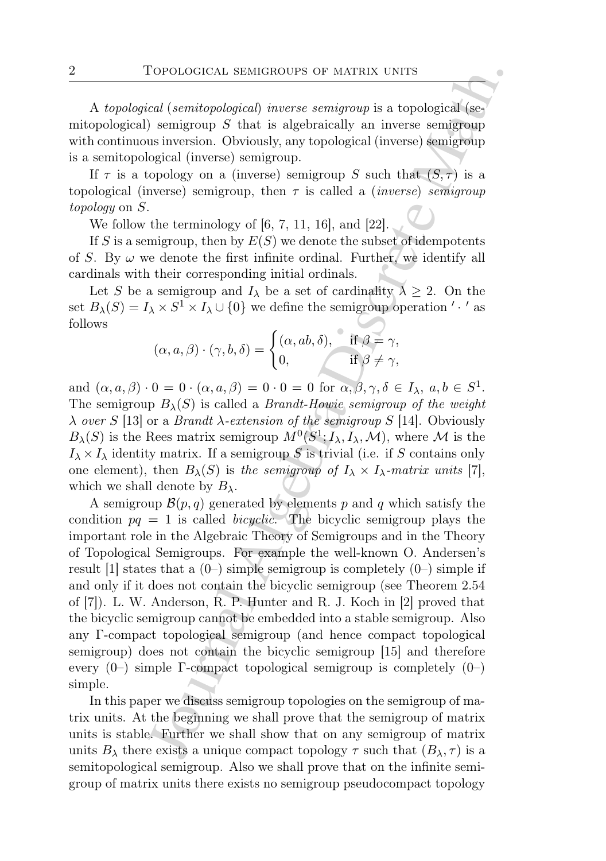A topological (semitopological) inverse semigroup is a topological (semitopological) semigroup  $S$  that is algebraically an inverse semigroup with continuous inversion. Obviously, any topological (inverse) semigroup is a semitopological (inverse) semigroup.

If  $\tau$  is a topology on a (inverse) semigroup S such that  $(S,\tau)$  is a topological (inverse) semigroup, then  $\tau$  is called a *(inverse) semigroup* topology on S.

We follow the terminology of  $[6, 7, 11, 16]$ , and  $[22]$ .

If S is a semigroup, then by  $E(S)$  we denote the subset of idempotents of S. By  $\omega$  we denote the first infinite ordinal. Further, we identify all cardinals with their corresponding initial ordinals.

Let S be a semigroup and  $I_{\lambda}$  be a set of cardinality  $\lambda \geq 2$ . On the set  $B_{\lambda}(S) = I_{\lambda} \times S^1 \times I_{\lambda} \cup \{0\}$  we define the semigroup operation ' · ' as follows

$$
(\alpha, a, \beta) \cdot (\gamma, b, \delta) = \begin{cases} (\alpha, ab, \delta), & \text{if } \beta = \gamma, \\ 0, & \text{if } \beta \neq \gamma, \end{cases}
$$

and  $(\alpha, a, \beta) \cdot 0 = 0 \cdot (\alpha, a, \beta) = 0 \cdot 0 = 0$  for  $\alpha, \beta, \gamma, \delta \in I_\lambda$ ,  $a, b \in S^1$ . The semigroup  $B_{\lambda}(S)$  is called a *Brandt-Howie semigroup of the weight*  $\lambda$  over S [13] or a Brandt  $\lambda$ -extension of the semigroup S [14]. Obviously  $B_{\lambda}(S)$  is the Rees matrix semigroup  $M^{0}(S^{1}; I_{\lambda}, I_{\lambda}, \mathcal{M})$ , where M is the  $I_{\lambda} \times I_{\lambda}$  identity matrix. If a semigroup S is trivial (i.e. if S contains only one element), then  $B_{\lambda}(S)$  is the semigroup of  $I_{\lambda} \times I_{\lambda}$ -matrix units [7], which we shall denote by  $B_\lambda$ .

IOPOLOGICAL SEMIGROUPS OF MATRIX UNITS<br>
ical (semitopological) inverse semigroup is a topological (semi-<br>
is smigronp 5 that is a globral<br>cally an inverse semigroup is a topological (semi-<br>
algebra Diviously, any topolog A semigroup  $\mathcal{B}(p,q)$  generated by elements p and q which satisfy the condition  $pq = 1$  is called *bicyclic*. The bicyclic semigroup plays the important role in the Algebraic Theory of Semigroups and in the Theory of Topological Semigroups. For example the well-known O. Andersen's result [1] states that a  $(0-)$  simple semigroup is completely  $(0-)$  simple if and only if it does not contain the bicyclic semigroup (see Theorem 2.54 of [7]). L. W. Anderson, R. P. Hunter and R. J. Koch in [2] proved that the bicyclic semigroup cannot be embedded into a stable semigroup. Also any Γ-compact topological semigroup (and hence compact topological semigroup) does not contain the bicyclic semigroup [15] and therefore every  $(0-)$  simple Γ-compact topological semigroup is completely  $(0-)$ simple.

In this paper we discuss semigroup topologies on the semigroup of matrix units. At the beginning we shall prove that the semigroup of matrix units is stable. Further we shall show that on any semigroup of matrix units  $B_\lambda$  there exists a unique compact topology  $\tau$  such that  $(B_\lambda, \tau)$  is a semitopological semigroup. Also we shall prove that on the infinite semigroup of matrix units there exists no semigroup pseudocompact topology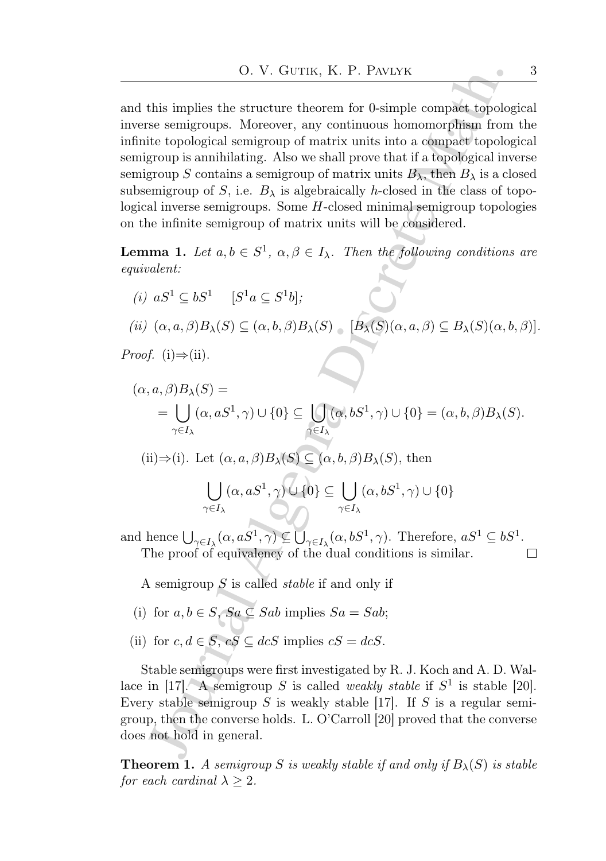and this implies the structure theorem for 0-simple compact topological inverse semigroups. Moreover, any continuous homomorphism from the infinite topological semigroup of matrix units into a compact topological semigroup is annihilating. Also we shall prove that if a topological inverse semigroup S contains a semigroup of matrix units  $B_{\lambda}$ , then  $B_{\lambda}$  is a closed subsemigroup of S, i.e.  $B_{\lambda}$  is algebraically h-closed in the class of topological inverse semigroups. Some  $H$ -closed minimal semigroup topologies on the infinite semigroup of matrix units will be considered.

**Lemma 1.** Let  $a, b \in S^1$ ,  $\alpha, \beta \in I_\lambda$ . Then the following conditions are equivalent:

(i)  $aS^1 \subseteq bS^1$  [ $S^1a \subseteq S^1b$ ]; (ii)  $(\alpha, a, \beta)B_{\lambda}(S) \subseteq (\alpha, b, \beta)B_{\lambda}(S)$  [ $B_{\lambda}(S)(\alpha, a, \beta) \subseteq B_{\lambda}(S)(\alpha, b, \beta)$ ]. *Proof.* (i)⇒(ii).

Journal Algebra Discrete Math. (α, a, β)Bλ(S) = = [ γ∈I<sup>λ</sup> (α, aS<sup>1</sup> , γ) ∪ {0} ⊆ [ γ∈I<sup>λ</sup> (α, bS<sup>1</sup> , γ) ∪ {0} = (α, b, β)Bλ(S). (ii)⇒(i). Let (α, a, β)Bλ(S) ⊆ (α, b, β)Bλ(S), then [ γ∈I<sup>λ</sup> (α, aS<sup>1</sup> , γ) ∪ {0} ⊆ [ γ∈I<sup>λ</sup> (α, bS<sup>1</sup> , γ) ∪ {0}

and hence  $\bigcup_{\gamma \in I_\lambda} (\alpha, aS^1, \gamma) \subseteq \bigcup_{\gamma \in I_\lambda} (\alpha, bS^1, \gamma)$ . Therefore,  $aS^1 \subseteq bS^1$ . The proof of equivalency of the dual conditions is similar.  $\Box$ 

A semigroup  $S$  is called *stable* if and only if

- (i) for  $a, b \in S$ ,  $Sa \subseteq Sab$  implies  $Sa = Sab$ ;
- (ii) for  $c, d \in S$ ,  $cS \subseteq dcS$  implies  $cS = dcS$ .

Stable semigroups were first investigated by R. J. Koch and A. D. Wallace in [17]. A semigroup S is called *weakly stable* if  $S^1$  is stable [20]. Every stable semigroup S is weakly stable [17]. If S is a regular semigroup, then the converse holds. L. O'Carroll [20] proved that the converse does not hold in general.

**Theorem 1.** A semigroup S is weakly stable if and only if  $B_\lambda(S)$  is stable for each cardinal  $\lambda \geq 2$ .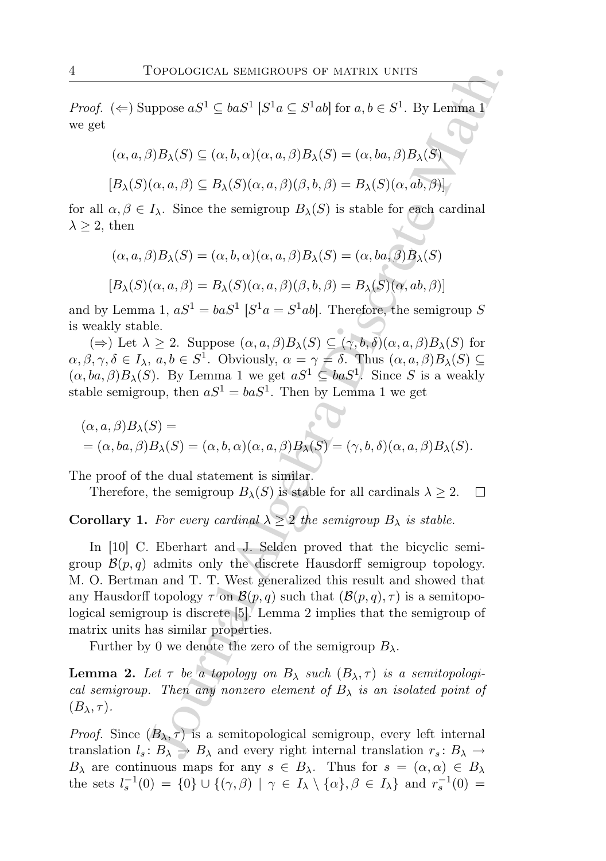*Proof.* ( $\Leftarrow$ ) Suppose  $aS^1 \subseteq baS^1$  [ $S^1a \subseteq S^1ab$ ] for  $a, b \in S^1$ . By Lemma 1 we get

$$
(\alpha, a, \beta)B_{\lambda}(S) \subseteq (\alpha, b, \alpha)(\alpha, a, \beta)B_{\lambda}(S) = (\alpha, ba, \beta)B_{\lambda}(S)
$$

$$
[B_{\lambda}(S)(\alpha, a, \beta) \subseteq B_{\lambda}(S)(\alpha, a, \beta)(\beta, b, \beta) = B_{\lambda}(S)(\alpha, ab, \beta)]
$$

for all  $\alpha, \beta \in I_\lambda$ . Since the semigroup  $B_\lambda(S)$  is stable for each cardinal  $\lambda \geq 2$ , then

$$
(\alpha, a, \beta)B_{\lambda}(S) = (\alpha, b, \alpha)(\alpha, a, \beta)B_{\lambda}(S) = (\alpha, ba, \beta)B_{\lambda}(S)
$$

$$
[B_{\lambda}(S)(\alpha, a, \beta) = B_{\lambda}(S)(\alpha, a, \beta)(\beta, b, \beta) = B_{\lambda}(S)(\alpha, ab, \beta)]
$$

and by Lemma 1,  $aS^1 = baS^1$   $[S^1a = S^1ab]$ . Therefore, the semigroup S is weakly stable.

( $\Rightarrow$ ) Let  $\lambda \geq 2$ . Suppose  $(\alpha, a, \beta)B_{\lambda}(S) \subseteq (\gamma, b, \delta)(\alpha, a, \beta)B_{\lambda}(S)$  for  $\alpha, \beta, \gamma, \delta \in I_\lambda$ ,  $a, b \in S^1$ . Obviously,  $\alpha = \gamma = \delta$ . Thus  $(\alpha, a, \beta)B_\lambda(S) \subseteq$  $(\alpha, ba, \beta)B_{\lambda}(S)$ . By Lemma 1 we get  $aS^1 \subseteq baS^1$ . Since S is a weakly stable semigroup, then  $aS^1 = baS^1$ . Then by Lemma 1 we get

$$
(\alpha, a, \beta)B_{\lambda}(S) =
$$
  
= (\alpha, ba, \beta)B\_{\lambda}(S) = (\alpha, b, \alpha)(\alpha, a, \beta)B\_{\lambda}(S) = (\gamma, b, \delta)(\alpha, a, \beta)B\_{\lambda}(S).

The proof of the dual statement is similar.

Therefore, the semigroup  $B_{\lambda}(S)$  is stable for all cardinals  $\lambda \geq 2$ .

# **Corollary 1.** For every cardinal  $\lambda \geq 2$  the semigroup  $B_{\lambda}$  is stable.

Corological static<br>Robert Corological static static Mathematic suppose  $aS^1 \subseteq baS^1 | S^1a \subseteq S^1ab |$  for  $a, b \in S^1$ . By Lemma<br>  $\beta B_{\lambda}(S) \subseteq (\alpha, b, \alpha)(\alpha, a, \beta)B_{\lambda}(S) = (\alpha, ba, \beta)B_{\lambda}(S)$ <br>  $(\alpha, a, \beta) \subseteq B_{\lambda}(S)(\alpha, a, \beta)(\beta, b, \beta) = B_{\lambda}(S)(\alpha,$ In [10] C. Eberhart and J. Selden proved that the bicyclic semigroup  $\mathcal{B}(p,q)$  admits only the discrete Hausdorff semigroup topology. M. O. Bertman and T. T. West generalized this result and showed that any Hausdorff topology  $\tau$  on  $\mathcal{B}(p,q)$  such that  $(\mathcal{B}(p,q), \tau)$  is a semitopological semigroup is discrete [5]. Lemma 2 implies that the semigroup of matrix units has similar properties.

Further by 0 we denote the zero of the semigroup  $B_{\lambda}$ .

**Lemma 2.** Let  $\tau$  be a topology on  $B_{\lambda}$  such  $(B_{\lambda}, \tau)$  is a semitopological semigroup. Then any nonzero element of  $B_{\lambda}$  is an isolated point of  $(B_\lambda, \tau)$ .

*Proof.* Since  $(B_{\lambda}, \tau)$  is a semitopological semigroup, every left internal translation  $l_s: B_\lambda \to B_\lambda$  and every right internal translation  $r_s: B_\lambda \to$  $B_\lambda$  are continuous maps for any  $s \in B_\lambda$ . Thus for  $s = (\alpha, \alpha) \in B_\lambda$ the sets  $l_s^{-1}(0) = \{0\} \cup \{(\gamma,\beta) \mid \gamma \in I_\lambda \setminus \{\alpha\}, \beta \in I_\lambda\}$  and  $r_s^{-1}(0) =$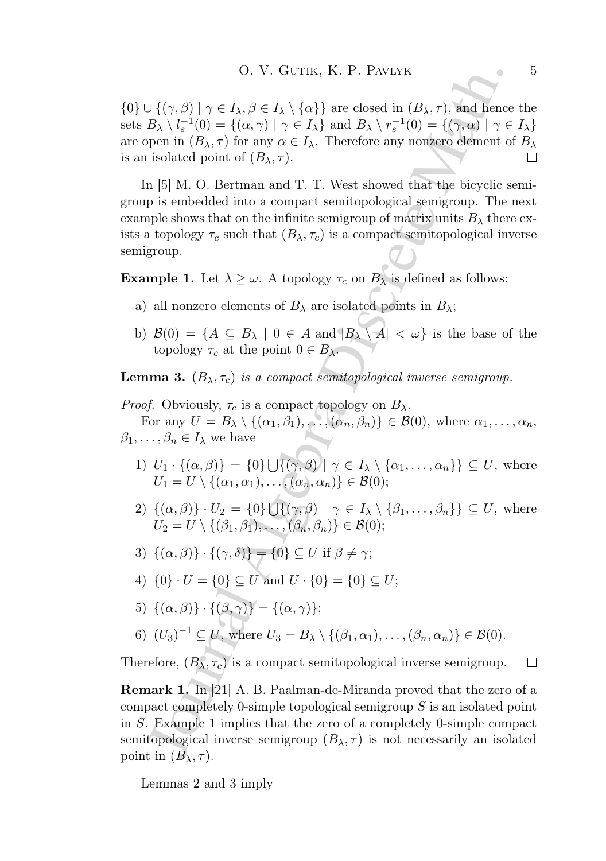$\{0\} \cup \{(\gamma, \beta) \mid \gamma \in I_\lambda, \beta \in I_\lambda \setminus \{\alpha\}\}\$ are closed in  $(B_\lambda, \tau)$ , and hence the sets  $B_{\lambda} \setminus l_s^{-1}(0) = \{(\alpha, \gamma) \mid \gamma \in I_{\lambda}\}\$ and  $B_{\lambda} \setminus r_s^{-1}(0) = \{(\gamma, \alpha) \mid \gamma \in I_{\lambda}\}\$ are open in  $(B_{\lambda}, \tau)$  for any  $\alpha \in I_{\lambda}$ . Therefore any nonzero element of  $B_{\lambda}$ is an isolated point of  $(B_{\lambda}, \tau)$ .  $\Box$ 

O. V. GUTIK, K. P. PANLYK<br>  $\left\{ (\gamma,\beta) \mid \gamma \in I_{\lambda}, \beta \in I_{\lambda} \setminus \{ \alpha \} \right\}$  are closed in  $(B_{\lambda},\tau)$ , and hence<br>  $B_{\lambda} \setminus I_{q}^{-1}(0) = \{ (\alpha,\gamma) \mid \gamma \in I_{\lambda} \}$  and  $B_{\lambda} \setminus \tau_{s}^{-1}(0) = \{ (\gamma,\alpha) \mid \gamma \in I_{\lambda} \}$  and  $B_{\lambda} \setminus \tau_{s}^{-1}(0) = \$ In [5] M. O. Bertman and T. T. West showed that the bicyclic semigroup is embedded into a compact semitopological semigroup. The next example shows that on the infinite semigroup of matrix units  $B_{\lambda}$  there exists a topology  $\tau_c$  such that  $(B_\lambda, \tau_c)$  is a compact semitopological inverse semigroup.

**Example 1.** Let  $\lambda \geq \omega$ . A topology  $\tau_c$  on  $B_\lambda$  is defined as follows:

- a) all nonzero elements of  $B_\lambda$  are isolated points in  $B_\lambda$ ;
- b)  $\mathcal{B}(0) = \{A \subseteq B_\lambda \mid 0 \in A \text{ and } |B_\lambda \setminus A| < \omega\}$  is the base of the topology  $\tau_c$  at the point  $0 \in B_\lambda$ .

**Lemma 3.**  $(B_{\lambda}, \tau_c)$  is a compact semitopological inverse semigroup.

*Proof.* Obviously,  $\tau_c$  is a compact topology on  $B_\lambda$ .

For any  $U = B_{\lambda} \setminus \{(\alpha_1, \beta_1), \ldots, (\alpha_n, \beta_n)\} \in \mathcal{B}(0)$ , where  $\alpha_1, \ldots, \alpha_n$ ,  $\beta_1, \ldots, \beta_n \in I_\lambda$  we have

- 1)  $U_1 \cdot \{(\alpha, \beta)\} = \{0\} \cup \{(\gamma, \beta) \mid \gamma \in I_\lambda \setminus \{\alpha_1, \ldots, \alpha_n\}\} \subseteq U$ , where  $U_1 = U \setminus \{(\alpha_1, \alpha_1), \ldots, (\alpha_n, \alpha_n)\} \in \mathcal{B}(0);$
- 2)  $\{(\alpha,\beta)\}\cdot U_2 = \{0\} \bigcup \{(\gamma,\beta) \mid \gamma \in I_\lambda \setminus \{\beta_1,\ldots,\beta_n\}\}\subseteq U$ , where  $U_2 = U \setminus \{(\beta_1, \beta_1), \ldots, (\beta_n, \beta_n)\} \in \mathcal{B}(0);$
- 3)  $\{(\alpha, \beta)\}\cdot\{(\gamma, \delta)\} = \{0\} \subseteq U$  if  $\beta \neq \gamma$ ;
- 4)  $\{0\} \cdot U = \{0\} \subseteq U$  and  $U \cdot \{0\} = \{0\} \subseteq U$ ;
- 5)  $\{(\alpha, \beta)\}\cdot\{(\beta, \gamma)\} = \{(\alpha, \gamma)\};$
- 6)  $(U_3)^{-1} \subseteq U$ , where  $U_3 = B_{\lambda} \setminus \{(\beta_1, \alpha_1), \ldots, (\beta_n, \alpha_n)\} \in \mathcal{B}(0)$ .

Therefore,  $(B_{\lambda}, \tau_c)$  is a compact semitopological inverse semigroup.  $\Box$ 

Remark 1. In [21] A. B. Paalman-de-Miranda proved that the zero of a compact completely 0-simple topological semigroup S is an isolated point in S. Example 1 implies that the zero of a completely 0-simple compact semitopological inverse semigroup  $(B_{\lambda}, \tau)$  is not necessarily an isolated point in  $(B_\lambda, \tau)$ .

Lemmas 2 and 3 imply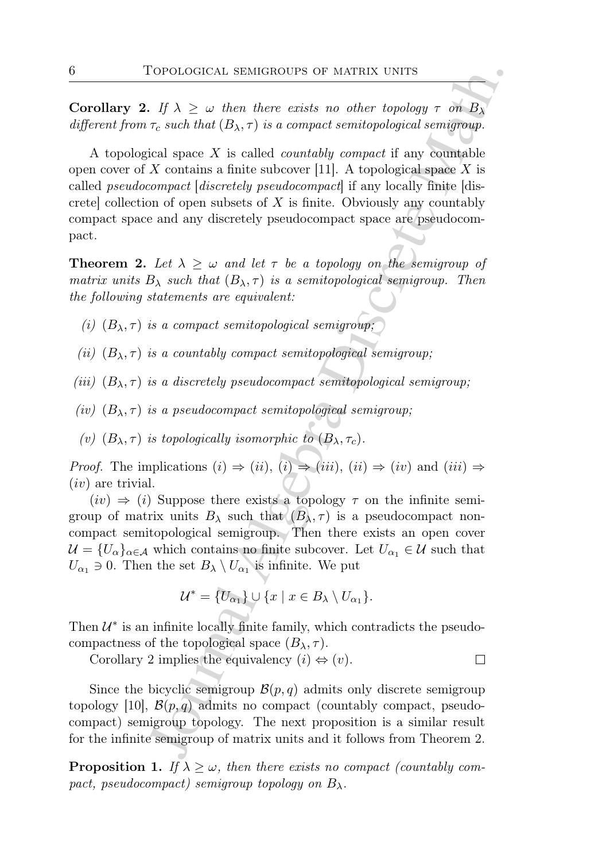**Corollary 2.** If  $\lambda \geq \omega$  then there exists no other topology  $\tau$  on  $B_{\lambda}$ different from  $\tau_c$  such that  $(B_\lambda, \tau)$  is a compact semitopological semigroup.

Corological semicrosity of MATRIX UNITS<br>
J $\Lambda \geq \omega$  then there exists no other topology  $\tau$  on  $B_{\lambda}$ ,  $\tau_c$  such that  $(B_{\lambda}, \tau)$  is a compact semitopological semigroup.<br>
i.ed space X is called *countably compact* if an A topological space  $X$  is called *countably compact* if any countable open cover of X contains a finite subcover [11]. A topological space X is called pseudocompact [discretely pseudocompact] if any locally finite [discretel collection of open subsets of  $X$  is finite. Obviously any countably compact space and any discretely pseudocompact space are pseudocompact.

**Theorem 2.** Let  $\lambda \geq \omega$  and let  $\tau$  be a topology on the semigroup of matrix units  $B_{\lambda}$  such that  $(B_{\lambda}, \tau)$  is a semitopological semigroup. Then the following statements are equivalent:

- (i)  $(B_{\lambda}, \tau)$  is a compact semitopological semigroup;
- (ii)  $(B_{\lambda}, \tau)$  is a countably compact semitopological semigroup;
- (iii)  $(B_{\lambda}, \tau)$  is a discretely pseudocompact semitopological semigroup;
- (iv)  $(B_{\lambda}, \tau)$  is a pseudocompact semitopological semigroup;
- (v)  $(B_{\lambda}, \tau)$  is topologically isomorphic to  $(B_{\lambda}, \tau_c)$ .

*Proof.* The implications  $(i) \Rightarrow (ii)$ ,  $(i) \Rightarrow (iii)$ ,  $(ii) \Rightarrow (iv)$  and  $(iii) \Rightarrow$  $(iv)$  are trivial.

 $(iv) \Rightarrow (i)$  Suppose there exists a topology  $\tau$  on the infinite semigroup of matrix units  $B_\lambda$  such that  $(B_\lambda, \tau)$  is a pseudocompact noncompact semitopological semigroup. Then there exists an open cover  $\mathcal{U} = \{U_{\alpha}\}_{{\alpha \in \mathcal{A}}}$  which contains no finite subcover. Let  $U_{\alpha_1} \in \mathcal{U}$  such that  $U_{\alpha_1} \ni 0$ . Then the set  $B_{\lambda} \setminus U_{\alpha_1}$  is infinite. We put

$$
\mathcal{U}^* = \{U_{\alpha_1}\} \cup \{x \mid x \in B_{\lambda} \setminus U_{\alpha_1}\}.
$$

Then  $\mathcal{U}^*$  is an infinite locally finite family, which contradicts the pseudocompactness of the topological space  $(B_{\lambda}, \tau)$ .

Corollary 2 implies the equivalency  $(i) \Leftrightarrow (v)$ .

Since the bicyclic semigroup  $\mathcal{B}(p,q)$  admits only discrete semigroup topology [10],  $\mathcal{B}(p,q)$  admits no compact (countably compact, pseudocompact) semigroup topology. The next proposition is a similar result for the infinite semigroup of matrix units and it follows from Theorem 2.

**Proposition 1.** If  $\lambda \geq \omega$ , then there exists no compact (countably compact, pseudocompact) semigroup topology on  $B_\lambda$ .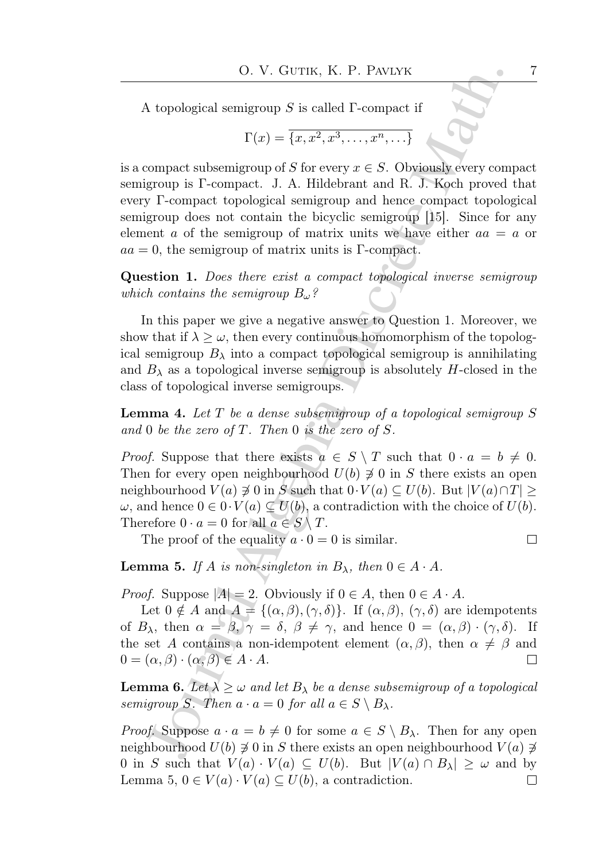A topological semigroup  $S$  is called  $\Gamma$ -compact if

$$
\Gamma(x) = \overline{\{x, x^2, x^3, \dots, x^n, \dots\}}
$$

O. V. GUTIK, K. P. PANLYK<br>
1 topological semigroup S is called P-compact if<br>  $\Gamma(x) = \overline{\{x, x^2, x^3, \ldots, x^n, \ldots\}}$ <br>
compact subsemigroup of S for every  $x \in S$ . Obviously every compact<br>
group is P-compact topological semigrou is a compact subsemigroup of S for every  $x \in S$ . Obviously every compact semigroup is Γ-compact. J. A. Hildebrant and R. J. Koch proved that every Γ-compact topological semigroup and hence compact topological semigroup does not contain the bicyclic semigroup [15]. Since for any element a of the semigroup of matrix units we have either  $aa = a$  or  $aa = 0$ , the semigroup of matrix units is Γ-compact.

Question 1. Does there exist a compact topological inverse semigroup which contains the semigroup  $B_{\omega}$ ?

In this paper we give a negative answer to Question 1. Moreover, we show that if  $\lambda \geq \omega$ , then every continuous homomorphism of the topological semigroup  $B_\lambda$  into a compact topological semigroup is annihilating and  $B_{\lambda}$  as a topological inverse semigroup is absolutely H-closed in the class of topological inverse semigroups.

**Lemma 4.** Let  $T$  be a dense subsemigroup of a topological semigroup  $S$ and 0 be the zero of  $T$ . Then 0 is the zero of  $S$ .

*Proof.* Suppose that there exists  $a \in S \setminus T$  such that  $0 \cdot a = b \neq 0$ . Then for every open neighbourhood  $U(b) \not\supseteq 0$  in S there exists an open neighbourhood  $V(a) \not\supseteq 0$  in  $S$  such that  $0 \cdot V(a) \subseteq U(b)$ . But  $|V(a) \cap T| \geq$  $\omega$ , and hence  $0 \in 0 \cdot V(a) \subseteq U(b)$ , a contradiction with the choice of  $U(b)$ . Therefore  $0 \cdot a = 0$  for all  $a \in S \setminus T$ .

The proof of the equality  $a \cdot 0 = 0$  is similar.

**Lemma 5.** If A is non-singleton in  $B_{\lambda}$ , then  $0 \in A \cdot A$ .

*Proof.* Suppose  $|A| = 2$ . Obviously if  $0 \in A$ , then  $0 \in A \cdot A$ .

Let  $0 \notin A$  and  $A = \{(\alpha, \beta), (\gamma, \delta)\}\$ . If  $(\alpha, \beta), (\gamma, \delta)$  are idempotents of  $B_\lambda$ , then  $\alpha = \beta$ ,  $\gamma = \delta$ ,  $\beta \neq \gamma$ , and hence  $0 = (\alpha, \beta) \cdot (\gamma, \delta)$ . If the set A contains a non-idempotent element  $(\alpha, \beta)$ , then  $\alpha \neq \beta$  and  $0 = (\alpha, \beta) \cdot (\alpha, \beta) \in A \cdot A$ .  $\Box$ 

**Lemma 6.** Let  $\lambda \geq \omega$  and let  $B_{\lambda}$  be a dense subsemigroup of a topological semigroup S. Then  $a \cdot a = 0$  for all  $a \in S \setminus B_\lambda$ .

*Proof.* Suppose  $a \cdot a = b \neq 0$  for some  $a \in S \setminus B_\lambda$ . Then for any open neighbourhood  $U(b) \neq 0$  in S there exists an open neighbourhood  $V(a) \neq$ 0 in S such that  $V(a) \cdot V(a) \subseteq U(b)$ . But  $|V(a) \cap B_\lambda| \geq \omega$  and by Lemma 5,  $0 \in V(a) \cdot V(a) \subseteq U(b)$ , a contradiction.  $\Box$ 

 $\Box$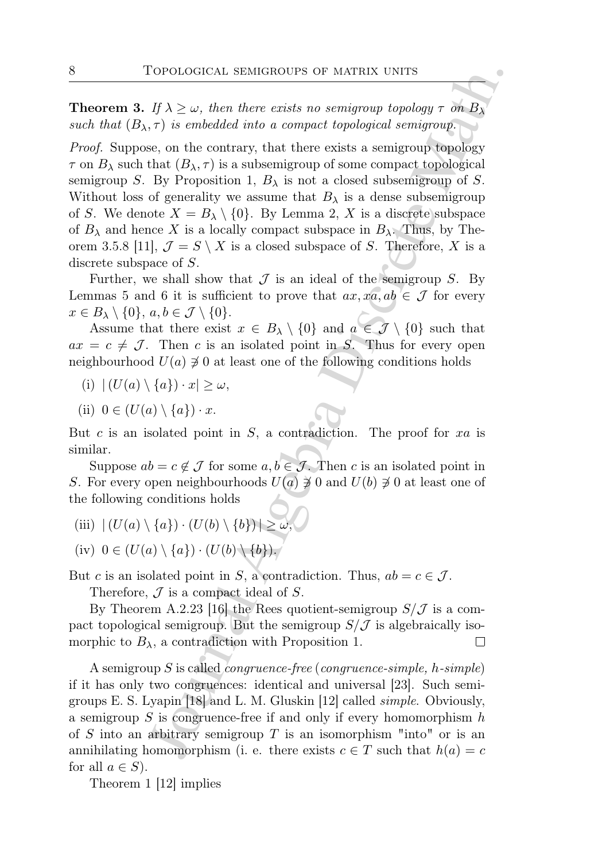**Theorem 3.** If  $\lambda \geq \omega$ , then there exists no semigroup topology  $\tau$  on  $B_{\lambda}$ such that  $(B_{\lambda}, \tau)$  is embedded into a compact topological semigroup.

FORD CONCRET SEMIGROUPS OF MATRIX UNITS<br>  $\iint \lambda \geq \omega$ , then there exists no semigroup topology  $\tau$  on  $B_{\lambda}$ ,  $\tau$ ) is embedded into a compact topological semigroup (oploogy<br>  $\tau$ ) is embedded into a compact topological Proof. Suppose, on the contrary, that there exists a semigroup topology  $\tau$  on  $B_\lambda$  such that  $(B_\lambda, \tau)$  is a subsemigroup of some compact topological semigroup S. By Proposition 1,  $B_{\lambda}$  is not a closed subsemigroup of S. Without loss of generality we assume that  $B_{\lambda}$  is a dense subsemigroup of S. We denote  $X = B_{\lambda} \setminus \{0\}$ . By Lemma 2, X is a discrete subspace of  $B_\lambda$  and hence X is a locally compact subspace in  $B_\lambda$ . Thus, by Theorem 3.5.8 [11],  $\mathcal{J} = S \setminus X$  is a closed subspace of S. Therefore, X is a discrete subspace of S.

Further, we shall show that  $\mathcal J$  is an ideal of the semigroup  $S$ . By Lemmas 5 and 6 it is sufficient to prove that  $ax, xa, ab \in \mathcal{J}$  for every  $x \in B_{\lambda} \setminus \{0\}, a, b \in \mathcal{J} \setminus \{0\}.$ 

Assume that there exist  $x \in B_\lambda \setminus \{0\}$  and  $a \in \mathcal{J} \setminus \{0\}$  such that  $ax = c \neq \mathcal{J}$ . Then c is an isolated point in S. Thus for every open neighbourhood  $U(a) \neq 0$  at least one of the following conditions holds

- (i)  $|(U(a) \setminus \{a\}) \cdot x| > \omega$ ,
- (ii)  $0 \in (U(a) \setminus \{a\}) \cdot x$ .

But c is an isolated point in  $S$ , a contradiction. The proof for  $xa$  is similar.

Suppose  $ab = c \notin \mathcal{J}$  for some  $a, b \in \mathcal{J}$ . Then c is an isolated point in S. For every open neighbourhoods  $U(a) \neq 0$  and  $U(b) \neq 0$  at least one of the following conditions holds

- (iii)  $|(U(a) \setminus \{a\}) \cdot (U(b) \setminus \{b\})| \ge \omega$
- (iv)  $0 \in (U(a) \setminus \{a\}) \cdot (U(b) \setminus \{b\}).$

But c is an isolated point in S, a contradiction. Thus,  $ab = c \in \mathcal{J}$ .

Therefore,  $\mathcal J$  is a compact ideal of  $S$ .

By Theorem A.2.23 [16] the Rees quotient-semigroup  $S/\mathcal{J}$  is a compact topological semigroup. But the semigroup  $S/\mathcal{J}$  is algebraically isomorphic to  $B_{\lambda}$ , a contradiction with Proposition 1.

A semigroup S is called *congruence-free* (*congruence-simple*,  $h$ -simple) if it has only two congruences: identical and universal [23]. Such semigroups E. S. Lyapin [18] and L. M. Gluskin [12] called simple. Obviously, a semigroup  $S$  is congruence-free if and only if every homomorphism  $h$ of S into an arbitrary semigroup T is an isomorphism "into" or is an annihilating homomorphism (i. e. there exists  $c \in T$  such that  $h(a) = c$ for all  $a \in S$ ).

Theorem 1 [12] implies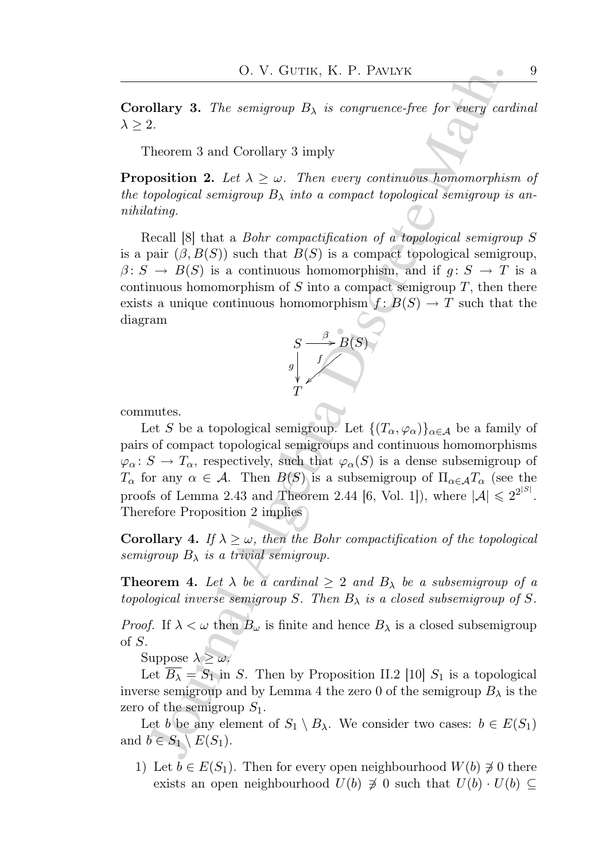**Corollary 3.** The semigroup  $B_{\lambda}$  is congruence-free for every cardinal  $\lambda \geq 2$ .

Theorem 3 and Corollary 3 imply

**Proposition 2.** Let  $\lambda \geq \omega$ . Then every continuous homomorphism of the topological semigroup  $B_{\lambda}$  into a compact topological semigroup is annihilating.

Recall [8] that a Bohr compactification of a topological semigroup S is a pair  $(\beta, B(S))$  such that  $B(S)$  is a compact topological semigroup,  $\beta: S \to B(S)$  is a continuous homomorphism, and if  $g: S \to T$  is a continuous homomorphism of  $S$  into a compact semigroup  $T$ , then there exists a unique continuous homomorphism  $f: B(S) \to T$  such that the diagram



commutes.

O. V. GUTIK, K. P. PANLYK<br>
Collary 3. The semigroup  $B_{\lambda}$  is congruence-free for every card<br>
2.<br>
Theorem 3 and Corollary 3 imply<br>
popological semigroup  $B_{\lambda}$  into a compact topological semigroup is<br>
copological semigr Let S be a topological semigroup. Let  $\{(T_{\alpha}, \varphi_{\alpha})\}_{\alpha \in A}$  be a family of pairs of compact topological semigroups and continuous homomorphisms  $\varphi_{\alpha} \colon S \to T_{\alpha}$ , respectively, such that  $\varphi_{\alpha}(S)$  is a dense subsemigroup of  $T_{\alpha}$  for any  $\alpha \in \mathcal{A}$ . Then  $B(S)$  is a subsemigroup of  $\Pi_{\alpha \in \mathcal{A}} T_{\alpha}$  (see the proofs of Lemma 2.43 and Theorem 2.44 [6, Vol. 1]), where  $|\mathcal{A}| \leq 2^{2^{|S|}}$ . Therefore Proposition 2 implies

**Corollary 4.** If  $\lambda \geq \omega$ , then the Bohr compactification of the topological semigroup  $B_{\lambda}$  is a trivial semigroup.

**Theorem 4.** Let  $\lambda$  be a cardinal  $\geq 2$  and  $B_{\lambda}$  be a subsemigroup of a topological inverse semigroup S. Then  $B_{\lambda}$  is a closed subsemigroup of S.

*Proof.* If  $\lambda < \omega$  then  $B_{\omega}$  is finite and hence  $B_{\lambda}$  is a closed subsemigroup of S.

Suppose  $\lambda > \omega$ .

Let  $\overline{B_{\lambda}} = S_1$  in S. Then by Proposition II.2 [10]  $S_1$  is a topological inverse semigroup and by Lemma 4 the zero 0 of the semigroup  $B_\lambda$  is the zero of the semigroup  $S_1$ .

Let b be any element of  $S_1 \setminus B_\lambda$ . We consider two cases:  $b \in E(S_1)$ and  $b \in S_1 \setminus E(S_1)$ .

1) Let  $b \in E(S_1)$ . Then for every open neighbourhood  $W(b) \not\ni 0$  there exists an open neighbourhood  $U(b) \not\supseteq 0$  such that  $U(b) \cdot U(b) \subseteq$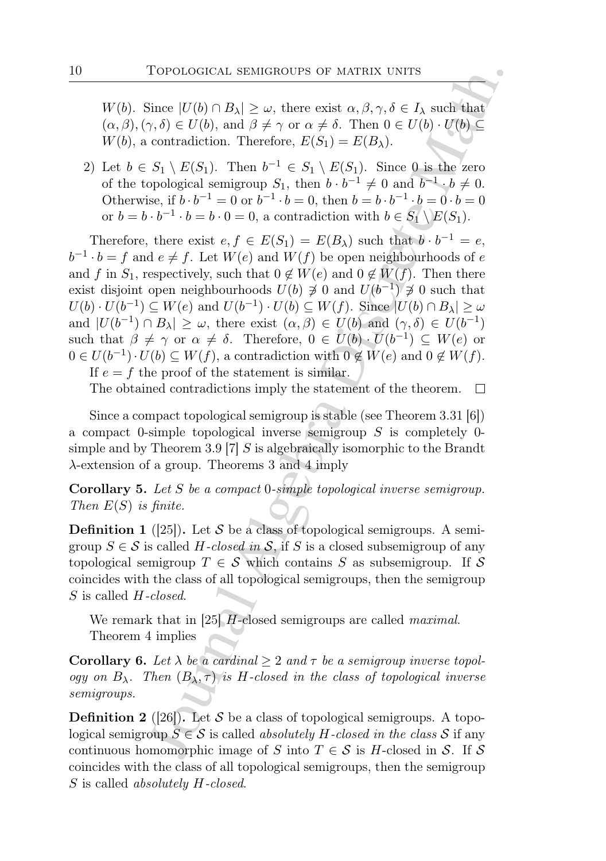W(b). Since  $|U(b) \cap B_{\lambda}| \geq \omega$ , there exist  $\alpha, \beta, \gamma, \delta \in I_{\lambda}$  such that  $(\alpha, \beta), (\gamma, \delta) \in U(b)$ , and  $\beta \neq \gamma$  or  $\alpha \neq \delta$ . Then  $0 \in U(b) \cdot U(b) \subseteq$  $W(b)$ , a contradiction. Therefore,  $E(S_1) = E(B_\lambda)$ .

2) Let  $b \in S_1 \setminus E(S_1)$ . Then  $b^{-1} \in S_1 \setminus E(S_1)$ . Since 0 is the zero of the topological semigroup  $S_1$ , then  $b \cdot b^{-1} \neq 0$  and  $b^{-1} \cdot b \neq 0$ . Otherwise, if  $b \cdot b^{-1} = 0$  or  $b^{-1} \cdot b = 0$ , then  $b = b \cdot b^{-1} \cdot b = 0 \cdot b = 0$ or  $b = b \cdot b^{-1} \cdot b = b \cdot 0 = 0$ , a contradiction with  $b \in S_1 \setminus E(S_1)$ .

To<br>Potococical semicocity or MATRIX UNITS<br>
Since  $|U(b) \cap B_{\lambda}| \geq \omega$ , there exist  $\alpha, \beta, \gamma, \delta \in I_{\lambda}$  such that<br>  $\gamma, \delta) \in U(b)$ , and  $\beta \neq \gamma$  or  $\alpha \neq \delta$ . Then  $0 \in U(b) \cup U(b) \subseteq$ <br>
courtactivition. Therefore,  $L(S_1) = L(B_{\lambda})$ . Therefore, there exist  $e, f \in E(S_1) = E(B_\lambda)$  such that  $b \cdot b^{-1} = e$ ,  $b^{-1} \cdot b = f$  and  $e \neq f$ . Let  $W(e)$  and  $W(f)$  be open neighbourhoods of e and f in  $S_1$ , respectively, such that  $0 \notin W(e)$  and  $0 \notin W(f)$ . Then there exist disjoint open neighbourhoods  $U(b) \not\supseteq 0$  and  $U(b^{-1}) \not\supseteq 0$  such that  $U(b) \cdot U(b^{-1}) \subseteq W(e)$  and  $U(b^{-1}) \cdot U(b) \subseteq W(f)$ . Since  $|U(b) \cap B_{\lambda}| \ge \omega$ and  $|U(b^{-1}) \cap B_\lambda| \geq \omega$ , there exist  $(\alpha, \beta) \in U(b)$  and  $(\gamma, \delta) \in U(b^{-1})$ such that  $\beta \neq \gamma$  or  $\alpha \neq \delta$ . Therefore,  $0 \in U(b) \cdot \overline{U(b^{-1})} \subseteq W(e)$  or  $0 \in U(b^{-1}) \cdot U(b) \subseteq W(f)$ , a contradiction with  $0 \notin W(e)$  and  $0 \notin W(f)$ . If  $e = f$  the proof of the statement is similar.

The obtained contradictions imply the statement of the theorem.

Since a compact topological semigroup is stable (see Theorem 3.31 [6]) a compact 0-simple topological inverse semigroup  $S$  is completely 0simple and by Theorem 3.9 [7] S is algebraically isomorphic to the Brandt  $\lambda$ -extension of a group. Theorems 3 and 4 imply

Corollary 5. Let S be a compact 0-simple topological inverse semigroup. Then  $E(S)$  is finite.

**Definition 1** ([25]). Let S be a class of topological semigroups. A semigroup  $S \in \mathcal{S}$  is called H-closed in  $\mathcal{S}$ , if S is a closed subsemigroup of any topological semigroup  $T \in \mathcal{S}$  which contains S as subsemigroup. If S coincides with the class of all topological semigroups, then the semigroup S is called H-closed.

We remark that in [25]  $H$ -closed semigroups are called *maximal*. Theorem 4 implies

Corollary 6. Let  $\lambda$  be a cardinal  $\geq 2$  and  $\tau$  be a semigroup inverse topology on  $B_\lambda$ . Then  $(B_\lambda, \tau)$  is H-closed in the class of topological inverse semigroups.

**Definition 2** ([26]). Let S be a class of topological semigroups. A topological semigroup  $S \in \mathcal{S}$  is called absolutely H-closed in the class  $\mathcal{S}$  if any continuous homomorphic image of S into  $T \in \mathcal{S}$  is H-closed in S. If S coincides with the class of all topological semigroups, then the semigroup S is called *absolutely H*-closed.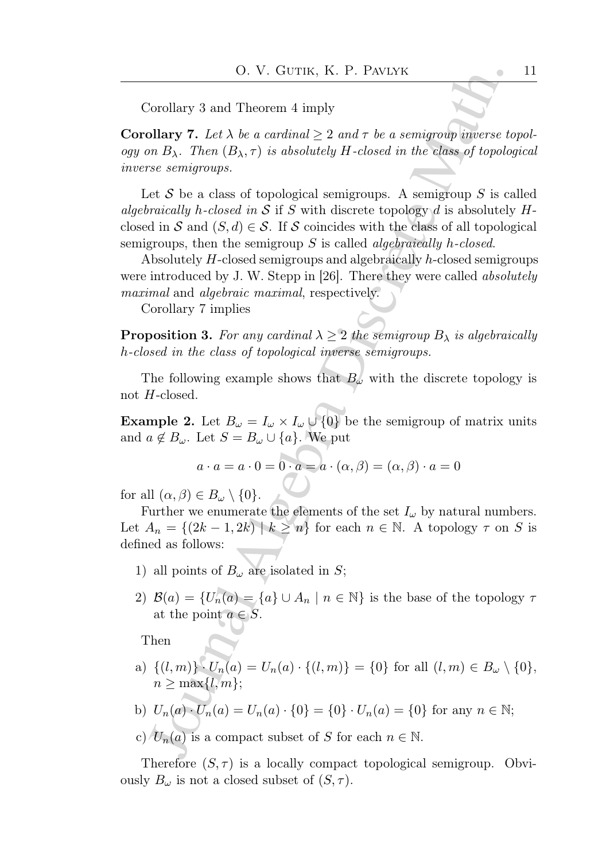Corollary 3 and Theorem 4 imply

**Corollary 7.** Let  $\lambda$  be a cardinal  $\geq 2$  and  $\tau$  be a semigroup inverse topology on  $B_\lambda$ . Then  $(B_\lambda, \tau)$  is absolutely H-closed in the class of topological inverse semigroups.

O. V. Giv⊤t<br/>is, K. P. PANLYK<br>
Jorollary 7 and Theorem 4 imply<br/> $\label{eq:2.1} \mbox{Dvolary 7. } Let \lambda be a {\it continuous} \geq 2 \ and \tau \ be a {\it semigroup inverse} \ to \hbox{no-} H_2. Then (B_2, \tau) is absolutely H-closed in the class of topology \ to \tau \to B_2. Then (B_3, \tau) is absolutely H-closed in S if S with discrete topology d is absolutely by \tau-doted in S if S with discrete topology d is absolutely H-closed. Then, the semigroup S is called algebraically h-closed semigroups$ Let S be a class of topological semigroups. A semigroup S is called algebraically h-closed in S if S with discrete topology d is absolutely  $H$ closed in S and  $(S, d) \in S$ . If S coincides with the class of all topological semigroups, then the semigroup  $S$  is called *algebraically h-closed*.

Absolutely H-closed semigroups and algebraically h-closed semigroups were introduced by J. W. Stepp in [26]. There they were called *absolutely* maximal and algebraic maximal, respectively.

Corollary 7 implies

**Proposition 3.** For any cardinal  $\lambda \geq 2$  the semigroup  $B_{\lambda}$  is algebraically h-closed in the class of topological inverse semigroups.

The following example shows that  $B_{\omega}$  with the discrete topology is not H-closed.

**Example 2.** Let  $B_{\omega} = I_{\omega} \times I_{\omega} \cup \{0\}$  be the semigroup of matrix units and  $a \notin B_{\omega}$ . Let  $S = B_{\omega} \cup \{a\}$ . We put

$$
a \cdot a = a \cdot 0 = 0 \cdot a = a \cdot (\alpha, \beta) = (\alpha, \beta) \cdot a = 0
$$

for all  $(\alpha, \beta) \in B_\omega \setminus \{0\}.$ 

Further we enumerate the elements of the set  $I_{\omega}$  by natural numbers. Let  $A_n = \{(2k-1, 2k) \mid k \geq n\}$  for each  $n \in \mathbb{N}$ . A topology  $\tau$  on S is defined as follows:

- 1) all points of  $B_{\omega}$  are isolated in S;
- 2)  $\mathcal{B}(a) = \{U_n(a) = \{a\} \cup A_n \mid n \in \mathbb{N}\}\$ is the base of the topology  $\tau$ at the point  $a \in S$ .

Then

a)  $\{(l,m)\}\cdot U_n(a) = U_n(a)\cdot \{(l,m)\} = \{0\}$  for all  $(l,m) \in B_\omega \setminus \{0\},$  $n \geq \max\{l,m\};$ 

b) 
$$
U_n(a) \cdot U_n(a) = U_n(a) \cdot \{0\} = \{0\} \cdot U_n(a) = \{0\}
$$
 for any  $n \in \mathbb{N}$ ;

c)  $U_n(a)$  is a compact subset of S for each  $n \in \mathbb{N}$ .

Therefore  $(S, \tau)$  is a locally compact topological semigroup. Obviously  $B_{\omega}$  is not a closed subset of  $(S, \tau)$ .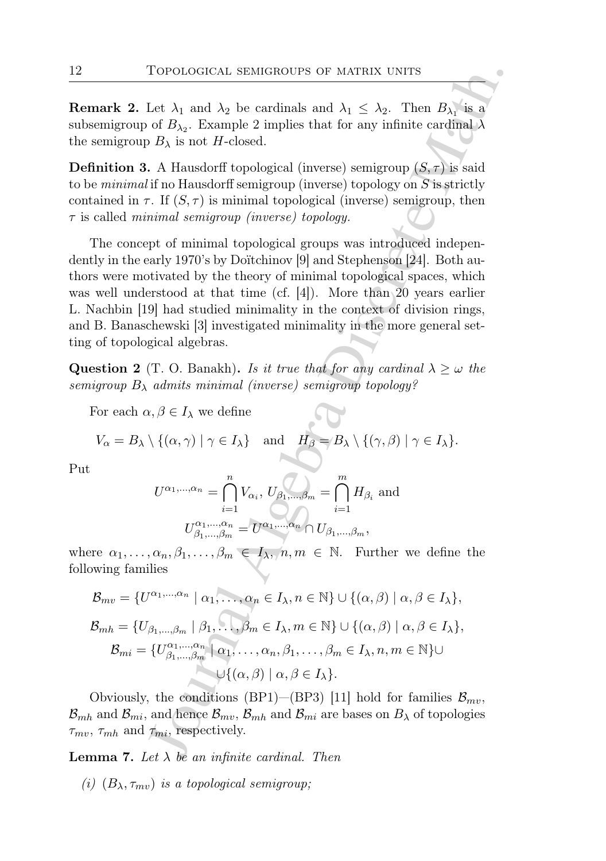**Remark 2.** Let  $\lambda_1$  and  $\lambda_2$  be cardinals and  $\lambda_1 \leq \lambda_2$ . Then  $B_{\lambda_1}$  is a subsemigroup of  $B_{\lambda_2}$ . Example 2 implies that for any infinite cardinal  $\lambda$ the semigroup  $B_{\lambda}$  is not H-closed.

**Definition 3.** A Hausdorff topological (inverse) semigroup  $(S, \tau)$  is said to be *minimal* if no Hausdorff semigroup (inverse) topology on  $S$  is strictly contained in  $\tau$ . If  $(S, \tau)$  is minimal topological (inverse) semigroup, then  $\tau$  is called *minimal semigroup (inverse)* topology.

To<br>Potococical semicology of MATRIX UNITS<br>Let  $\lambda_1$  and  $\lambda_2$  be cardinals and  $\lambda_1 \leq \lambda_2$ . Then  $B_{\lambda_1}$  is a<br>
Let  $\lambda_1$  and  $\lambda_2$  be eardinals and  $\lambda_1 \leq \lambda_2$ . Then  $B_{\lambda_1}$  is a<br>  $\lambda_1 B_{\lambda_2}$ . Example 2 impl The concept of minimal topological groups was introduced independently in the early 1970's by Doïtchinov [9] and Stephenson [24]. Both authors were motivated by the theory of minimal topological spaces, which was well understood at that time (cf. [4]). More than 20 years earlier L. Nachbin [19] had studied minimality in the context of division rings, and B. Banaschewski [3] investigated minimality in the more general setting of topological algebras.

**Question 2** (T. O. Banakh). Is it true that for any cardinal  $\lambda \geq \omega$  the semigroup  $B_\lambda$  admits minimal (inverse) semigroup topology?

For each  $\alpha, \beta \in I_\lambda$  we define

$$
V_{\alpha}=B_{\lambda}\setminus\{(\alpha,\gamma)\mid \gamma\in I_{\lambda}\}\quad\text{and}\quad H_{\beta}=B_{\lambda}\setminus\{(\gamma,\beta)\mid \gamma\in I_{\lambda}\}.
$$

Put

$$
U^{\alpha_1,\dots,\alpha_n} = \bigcap_{i=1}^n V_{\alpha_i}, \ U_{\beta_1,\dots,\beta_m} = \bigcap_{i=1}^m H_{\beta_i} \text{ and}
$$

$$
U_{\beta_1,\dots,\beta_m}^{\alpha_1,\dots,\alpha_n} = U^{\alpha_1,\dots,\alpha_n} \cap U_{\beta_1,\dots,\beta_m},
$$

where  $\alpha_1, \ldots, \alpha_n, \beta_1, \ldots, \beta_m \in I_\lambda$ ,  $n, m \in \mathbb{N}$ . Further we define the following families

$$
\mathcal{B}_{mv} = \{U^{\alpha_1,\dots,\alpha_n} \mid \alpha_1,\dots,\alpha_n \in I_\lambda, n \in \mathbb{N}\} \cup \{(\alpha,\beta) \mid \alpha,\beta \in I_\lambda\},
$$
  
\n
$$
\mathcal{B}_{mh} = \{U_{\beta_1,\dots,\beta_m} \mid \beta_1,\dots,\beta_m \in I_\lambda, m \in \mathbb{N}\} \cup \{(\alpha,\beta) \mid \alpha,\beta \in I_\lambda\},
$$
  
\n
$$
\mathcal{B}_{mi} = \{U_{\beta_1,\dots,\beta_m}^{\alpha_1,\dots,\alpha_n} \mid \alpha_1,\dots,\alpha_n,\beta_1,\dots,\beta_m \in I_\lambda, n, m \in \mathbb{N}\} \cup
$$
  
\n
$$
\cup \{(\alpha,\beta) \mid \alpha,\beta \in I_\lambda\}.
$$

Obviously, the conditions (BP1)–(BP3) [11] hold for families  $\mathcal{B}_{mv}$ ,  $\mathcal{B}_{mh}$  and  $\mathcal{B}_{mi}$ , and hence  $\mathcal{B}_{mv}$ ,  $\mathcal{B}_{mh}$  and  $\mathcal{B}_{mi}$  are bases on  $B_{\lambda}$  of topologies  $\tau_{mv}$ ,  $\tau_{mh}$  and  $\tau_{mi}$ , respectively.

**Lemma 7.** Let  $\lambda$  be an infinite cardinal. Then

(i)  $(B_{\lambda}, \tau_{mv})$  is a topological semigroup;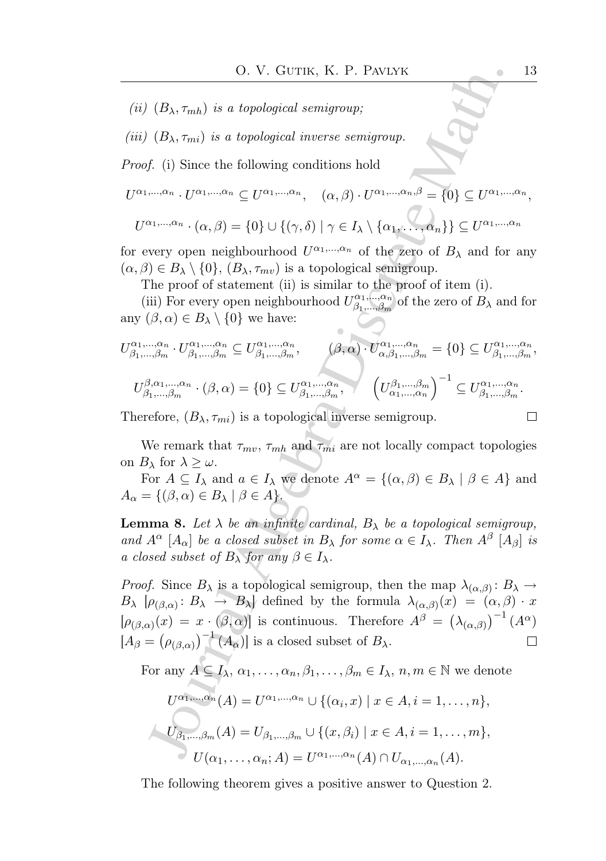- (ii)  $(B_{\lambda}, \tau_{mh})$  is a topological semigroup;
- (iii)  $(B_{\lambda}, \tau_{mi})$  is a topological inverse semigroup.

Proof. (i) Since the following conditions hold

 $U^{\alpha_1,...,\alpha_n} \cdot U^{\alpha_1,...,\alpha_n} \subseteq U^{\alpha_1,...,\alpha_n}, \quad (\alpha,\beta) \cdot U^{\alpha_1,...,\alpha_n,\beta} = \{0\} \subseteq U^{\alpha_1,...,\alpha_n},$ 

$$
U^{\alpha_1,\dots,\alpha_n} \cdot (\alpha, \beta) = \{0\} \cup \{(\gamma, \delta) \mid \gamma \in I_\lambda \setminus \{\alpha_1,\dots,\alpha_n\}\} \subseteq U^{\alpha_1,\dots,\alpha_n}
$$

for every open neighbourhood  $U^{\alpha_1,...,\alpha_n}$  of the zero of  $B_\lambda$  and for any  $(\alpha, \beta) \in B_{\lambda} \setminus \{0\}, (B_{\lambda}, \tau_{mv})$  is a topological semigroup.

The proof of statement (ii) is similar to the proof of item (i).

(iii) For every open neighbourhood  $U^{\alpha_1,...,\alpha_n}_{\beta_1}$  $\alpha_1,...,\alpha_n$  of the zero of  $B_\lambda$  and for any  $(\beta, \alpha) \in B_{\lambda} \setminus \{0\}$  we have:

\n- \n**13**\n
	\n- (ii) 
	$$
	(B_{\lambda}, \tau_{mh})
	$$
	 is a topological semigroup;
	\n- (iii)  $(B_{\lambda}, \tau_{mh})$  is a topological inverse semigroup.
	\n\n
\n- \n**Proof.**\n
	\n- (i) Since the following conditions hold
	\n\n
\n- \n**U<sup>α\_1, ..., α\_n</sup>** *U<sup>α\_1, ..., α\_n</sup> U<sup>α\_1, ..., α\_n</sup>*, *(α, β) U<sup>α\_1, ..., α\_n</sup>*, *θ Q U<sup>α\_1, ..., α\_n</sup>*, *U<sup>α\_1, ..., α\_n</sup>*, *U<sup>α\_1, ..., α\_n</sup>*, *U<sup>α\_1, ..., α\_n</sup>*, *U<sup>α\_1, ..., α\_n</sup>*, *U<sup>α\_1, ..., α\_n</sup>*, *U<sup>α\_1, ..., α\_n</sup>*, *U<sup>α\_1, ..., α\_n</sup>*, *U<sup>α\_1, ..., α\_n</sup> U<sup>α\_1, ..., α\_n</sup> U<sup>α\_1, ..., α\_n</sup> U<sup>α\_1, ..., α\_n</sup> U<sup>α\_1, ..., α\_n</sup> U<sup>α\_1, ..., α\_n</sup> U<sup>α\_1, ..., α\_n</sup> U<sup>α\_1, ..., α\_n</sup> U<sup>α\_1, ..., α\_n</sup>*, *W<sup>α\_1, ..., α\_n</sup> U<sup>α\_1, ..., α\_n</sup>*, *U<sup>α\_1, ..., α\_n</sup> U<sup>α\_1, ..., α\_n</sup>*, *U<sup>α\_1, ..., α\_n</sup>*, *U<sup>α\_1, ..., α\_n</sup>*, *U<sup>α\_1, ..., α\_n</sup>*, *U<sup>α\_1, ..., α\_n</sup>*, *U<sup>α\_1, ..., α\_n</sup>*, *U<sup>α\_1, ..., α\_n</sup>*, *U<sup>α\_1, ..., α\_n</sup>*, *U*

Therefore,  $(B_{\lambda}, \tau_{mi})$  is a topological inverse semigroup.

 $\Box$ 

We remark that  $\tau_{mv}$ ,  $\tau_{mh}$  and  $\tau_{mi}$  are not locally compact topologies on  $B_{\lambda}$  for  $\lambda \geq \omega$ .

For  $A \subseteq I_\lambda$  and  $a \in I_\lambda$  we denote  $A^\alpha = \{(\alpha, \beta) \in B_\lambda \mid \beta \in A\}$  and  $A_{\alpha} = \{(\beta, \alpha) \in B_{\lambda} \mid \beta \in A\}.$ 

**Lemma 8.** Let  $\lambda$  be an infinite cardinal,  $B_{\lambda}$  be a topological semigroup, and  $A^{\alpha}$  [ $A_{\alpha}$ ] be a closed subset in  $B_{\lambda}$  for some  $\alpha \in I_{\lambda}$ . Then  $A^{\beta}$  [ $A_{\beta}$ ] is a closed subset of  $B_\lambda$  for any  $\beta \in I_\lambda$ .

*Proof.* Since  $B_\lambda$  is a topological semigroup, then the map  $\lambda_{(\alpha,\beta)}: B_\lambda \to$  $B_{\lambda}$   $[\rho_{(\beta,\alpha)}:B_{\lambda}\to B_{\lambda}]$  defined by the formula  $\lambda_{(\alpha,\beta)}(x) = (\alpha,\beta)\cdot x$  $[\rho_{(\beta,\alpha)}(x) = x \cdot (\beta,\alpha)]$  is continuous. Therefore  $A^{\beta} = (\lambda_{(\alpha,\beta)})^{-1} (A^{\alpha})$  $[A_\beta = (\rho_{(\beta,\alpha)})^{-1}(A_\alpha)]$  is a closed subset of  $B_\lambda$ .  $\Box$ 

For any  $A \subseteq I_\lambda$ ,  $\alpha_1, \ldots, \alpha_n, \beta_1, \ldots, \beta_m \in I_\lambda$ ,  $n, m \in \mathbb{N}$  we denote

$$
U^{\alpha_1,...,\alpha_n}(A) = U^{\alpha_1,...,\alpha_n} \cup \{(\alpha_i, x) \mid x \in A, i = 1,..., n\},
$$
  

$$
U_{\beta_1,...,\beta_m}(A) = U_{\beta_1,...,\beta_m} \cup \{(x, \beta_i) \mid x \in A, i = 1,..., m\},
$$
  

$$
U(\alpha_1,...,\alpha_n; A) = U^{\alpha_1,...,\alpha_n}(A) \cap U_{\alpha_1,...,\alpha_n}(A).
$$

The following theorem gives a positive answer to Question 2.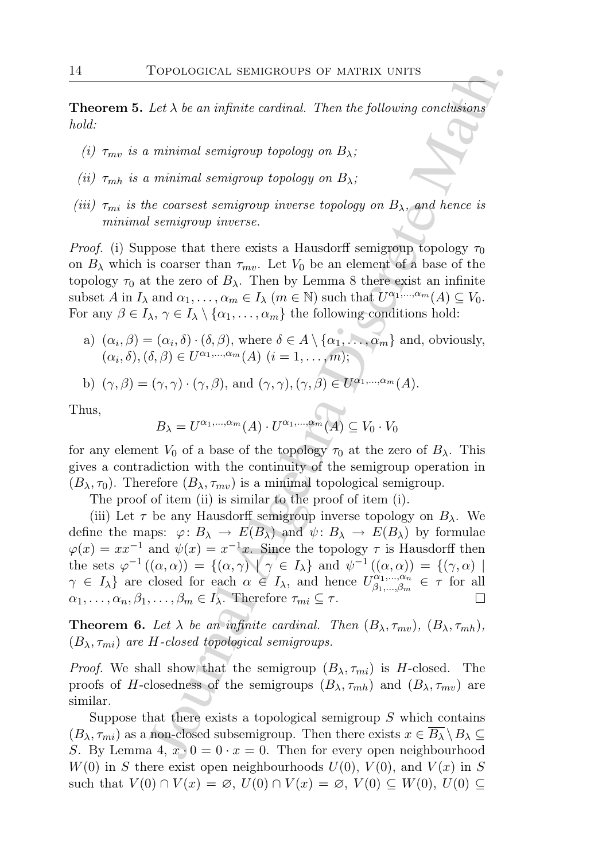**Theorem 5.** Let  $\lambda$  be an infinite cardinal. Then the following conclusions hold:

- (i)  $\tau_{mv}$  is a minimal semigroup topology on  $B_{\lambda}$ ;
- (ii)  $\tau_{mh}$  is a minimal semigroup topology on  $B_{\lambda}$ ;
- (iii)  $\tau_{mi}$  is the coarsest semigroup inverse topology on  $B_{\lambda}$ , and hence is minimal semigroup inverse.

*Proof.* (i) Suppose that there exists a Hausdorff semigroup topology  $\tau_0$ on  $B_\lambda$  which is coarser than  $\tau_{mv}$ . Let  $V_0$  be an element of a base of the topology  $\tau_0$  at the zero of  $B_\lambda$ . Then by Lemma 8 there exist an infinite subset A in  $I_{\lambda}$  and  $\alpha_1, \ldots, \alpha_m \in I_{\lambda}$   $(m \in \mathbb{N})$  such that  $U^{\alpha_1, \ldots, \alpha_m}(A) \subseteq V_0$ . For any  $\beta \in I_{\lambda}$ ,  $\gamma \in I_{\lambda} \setminus \{\alpha_1, \ldots, \alpha_m\}$  the following conditions hold:

a)  $(\alpha_i, \beta) = (\alpha_i, \delta) \cdot (\delta, \beta)$ , where  $\delta \in A \setminus {\alpha_1, \ldots, \alpha_m}$  and, obviously,  $(\alpha_i, \delta), (\delta, \beta) \in U^{\alpha_1, \dots, \alpha_m}(A)$   $(i = 1, \dots, m);$ 

b) 
$$
(\gamma, \beta) = (\gamma, \gamma) \cdot (\gamma, \beta)
$$
, and  $(\gamma, \gamma), (\gamma, \beta) \in U^{\alpha_1, ..., \alpha_m}(A)$ .

Thus,

$$
B_{\lambda} = U^{\alpha_1, \dots, \alpha_m}(A) \cdot U^{\alpha_1, \dots, \alpha_m}(A) \subseteq V_0 \cdot V_0
$$

for any element  $V_0$  of a base of the topology  $\tau_0$  at the zero of  $B_\lambda$ . This gives a contradiction with the continuity of the semigroup operation in  $(B_{\lambda}, \tau_0)$ . Therefore  $(B_{\lambda}, \tau_{mv})$  is a minimal topological semigroup.

The proof of item (ii) is similar to the proof of item (i).

To<br>POOLOGICAL SEMIGROUPS OF MATRIX UNITS<br>
Let  $\lambda$  be an infinite cardinal. Then the following conclusions<br>
tuninimal semigroup topology on  $B_{\lambda}$ ;<br>
in minimal semigroup topology on  $B_{\lambda}$ ;<br>
be coarsest semigroup invers (iii) Let  $\tau$  be any Hausdorff semigroup inverse topology on  $B_{\lambda}$ . We define the maps:  $\varphi: B_\lambda \to E(B_\lambda)$  and  $\psi: B_\lambda \to E(B_\lambda)$  by formulae  $\varphi(x) = xx^{-1}$  and  $\psi(x) = x^{-1}x$ . Since the topology  $\tau$  is Hausdorff then the sets  $\varphi^{-1}((\alpha,\alpha)) = \{(\alpha,\gamma) \mid \gamma \in I_{\lambda}\}\$ and  $\psi^{-1}((\alpha,\alpha)) = \{(\gamma,\alpha) \mid$  $\gamma \in I_{\lambda}$  are closed for each  $\alpha \in I_{\lambda}$ , and hence  $U_{\beta_1,...,\beta_m}^{\alpha_1,...,\alpha_n}$  $\alpha_1, \ldots, \alpha_n \atop \beta_1, \ldots, \beta_m \in \tau$  for all  $\alpha_1, \ldots, \alpha_n, \beta_1, \ldots, \beta_m \in I_\lambda$ . Therefore  $\tau_{mi} \subseteq \tau$ .

**Theorem 6.** Let  $\lambda$  be an infinite cardinal. Then  $(B_{\lambda}, \tau_{mv})$ ,  $(B_{\lambda}, \tau_{mh})$ ,  $(B_{\lambda}, \tau_{mi})$  are H-closed topological semigroups.

*Proof.* We shall show that the semigroup  $(B_{\lambda}, \tau_{mi})$  is H-closed. The proofs of H-closedness of the semigroups  $(B_{\lambda}, \tau_{mh})$  and  $(B_{\lambda}, \tau_{mv})$  are similar.

Suppose that there exists a topological semigroup  $S$  which contains  $(B_\lambda, \tau_{mi})$  as a non-closed subsemigroup. Then there exists  $x \in \overline{B_\lambda} \setminus B_\lambda \subseteq$ S. By Lemma 4,  $x \cdot 0 = 0 \cdot x = 0$ . Then for every open neighbourhood  $W(0)$  in S there exist open neighbourhoods  $U(0)$ ,  $V(0)$ , and  $V(x)$  in S such that  $V(0) \cap V(x) = \emptyset$ ,  $U(0) \cap V(x) = \emptyset$ ,  $V(0) \subseteq W(0)$ ,  $U(0) \subseteq$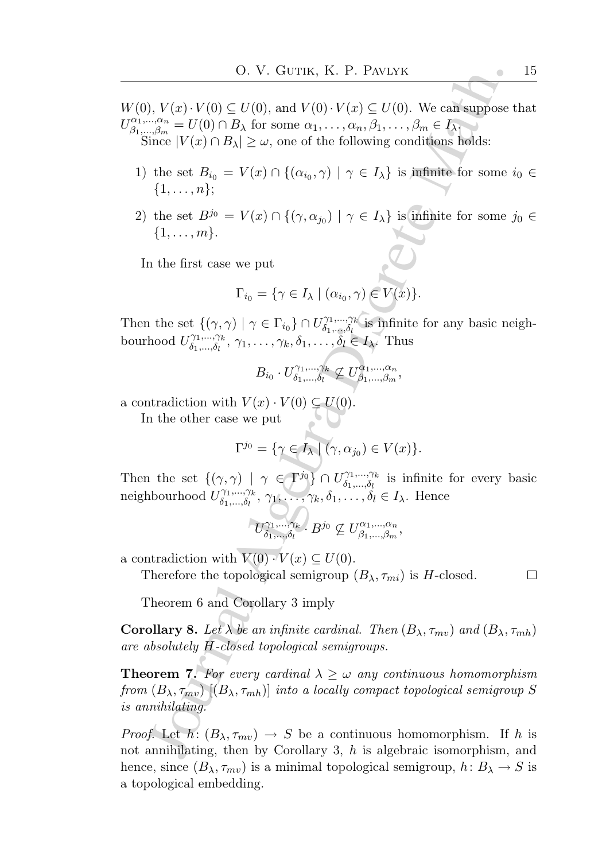- $W(0), V(x) \cdot V(0) \subseteq U(0)$ , and  $V(0) \cdot V(x) \subseteq U(0)$ . We can suppose that  $U^{\alpha_1,...,\alpha_n}_{\beta_1,\cdots,\beta_m}$  $\beta_1, \ldots, \beta_m \atop \beta_1, \ldots, \beta_m = U(0) \cap B_{\lambda}$  for some  $\alpha_1, \ldots, \alpha_n, \beta_1, \ldots, \beta_m \in I_{\lambda}$ . Since  $|V(x) \cap B_{\lambda}| \geq \omega$ , one of the following conditions holds:
	- 1) the set  $B_{i_0} = V(x) \cap \{(\alpha_{i_0}, \gamma) \mid \gamma \in I_{\lambda}\}\$ is infinite for some  $i_0 \in$  $\{1, \ldots, n\}$ ;
	- 2) the set  $B^{j_0} = V(x) \cap \{(\gamma, \alpha_{j_0}) \mid \gamma \in I_\lambda\}$  is infinite for some  $j_0 \in I_\lambda$  $\{1,\ldots,m\}.$

In the first case we put

$$
\Gamma_{i_0} = \{ \gamma \in I_\lambda \mid (\alpha_{i_0}, \gamma) \in V(x) \}.
$$

Then the set  $\{(\gamma, \gamma) \mid \gamma \in \Gamma_{i_0}\} \cap U_{\delta_1, \dots, \delta_l}^{\gamma_1, \dots, \gamma_k}$  $\delta_1, \ldots, \delta_l$  is infinite for any basic neighbourhood  $U_{\delta_1}^{\gamma_1,\ldots,\gamma_k}$  $\delta_1, \ldots, \delta_l, \ \gamma_1, \ldots, \gamma_k, \delta_1, \ldots, \delta_l \in I_\lambda.$  Thus

$$
B_{i_0} \cdot U^{\gamma_1,\dots,\gamma_k}_{\delta_1,\dots,\delta_l} \nsubseteq U^{\alpha_1,\dots,\alpha_n}_{\beta_1,\dots,\beta_m},
$$

a contradiction with  $V(x) \cdot V(0) \subseteq U(0)$ .

In the other case we put

$$
\Gamma^{j_0} = \{ \gamma \in I_{\lambda} \mid (\gamma, \alpha_{j_0}) \in V(x) \}.
$$

Then the set  $\{(\gamma, \gamma) \mid \gamma \in \Gamma^{j_0}\} \cap U^{\gamma_1, \dots, \gamma_k}_{\delta_1, \dots, \delta_k}$  $\delta_1, \ldots, \delta_l$  is infinite for every basic neighbourhood  $U^{\gamma_1,...,\gamma_k}_{\delta_1,\delta_2}$  $\delta_1, \ldots, \delta_l, \gamma_1, \ldots, \gamma_k, \delta_1, \ldots, \delta_l \in I_\lambda$ . Hence

$$
U^{\gamma_1,\dots,\gamma_k}_{\delta_1,\dots,\delta_l}. \; B^{j_0}\not\subseteq U^{\alpha_1,\dots,\alpha_n}_{\beta_1,\dots,\beta_m},
$$

a contradiction with  $V(0) \cdot V(x) \subset U(0)$ .

Therefore the topological semigroup  $(B_{\lambda}, \tau_{mi})$  is H-closed.

Theorem 6 and Corollary 3 imply

**Corollary 8.** Let  $\lambda$  be an infinite cardinal. Then  $(B_{\lambda}, \tau_{mv})$  and  $(B_{\lambda}, \tau_{mh})$ are absolutely H-closed topological semigroups.

O. V. GUTIK, K. P. PAVLYK<br>
J,  $V(x) \cdot V(0) \subseteq U(0)$ , and  $V(0) \cdot V(x) \subseteq U(0)$ . We can suppose<br>  $\frac{\alpha \alpha}{\alpha} = U(0) \cap B_{\lambda}$  for some  $\alpha_1, ..., \alpha_n, \beta_1, ..., \beta_m \in I_{\lambda}$ <br>
fine  $|V(x) \cap B_{\lambda}| \ge \omega$ , one of the following conditions holds:<br>
the s **Theorem 7.** For every cardinal  $\lambda \geq \omega$  any continuous homomorphism from  $(B_{\lambda}, \tau_{mv})$   $[(B_{\lambda}, \tau_{mh})]$  into a locally compact topological semigroup S is annihilating.

*Proof.* Let  $h: (B_{\lambda}, \tau_{mv}) \rightarrow S$  be a continuous homomorphism. If h is not annihilating, then by Corollary 3, h is algebraic isomorphism, and hence, since  $(B_{\lambda}, \tau_{mv})$  is a minimal topological semigroup,  $h: B_{\lambda} \to S$  is a topological embedding.

 $\Box$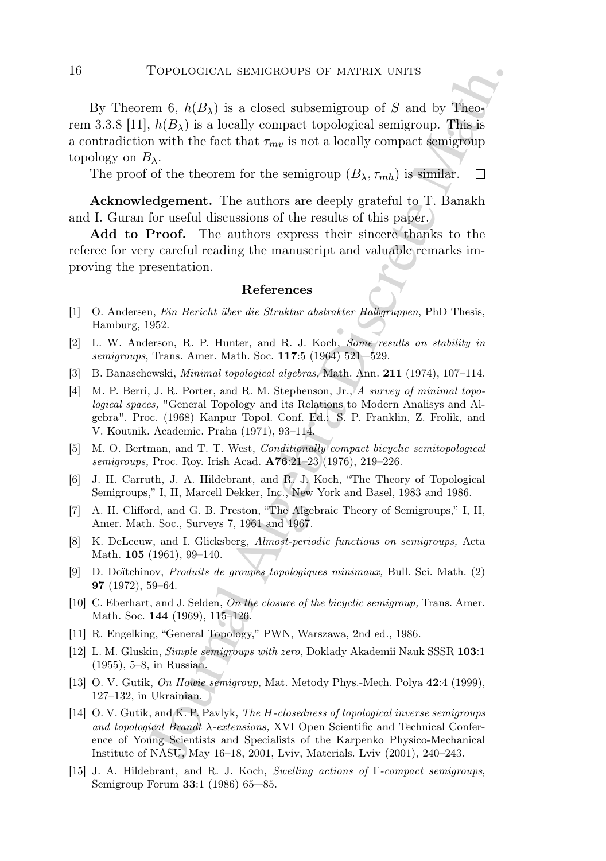To<br>PotocoGICAL SEMIGROUPS OF MATRIX UNITS<br>em 6,  $h(B_3)$  is a closed subsemigroup of S and by Theo-<br> $h(B_3)$  is a locally compact topological semigroup. This,<br>is  $h(B_3)$  is a locally compact topological semigroup. This,<br>is By Theorem 6,  $h(B_\lambda)$  is a closed subsemigroup of S and by Theorem 3.3.8 [11],  $h(B_\lambda)$  is a locally compact topological semigroup. This is a contradiction with the fact that  $\tau_{mv}$  is not a locally compact semigroup topology on  $B_\lambda$ .

The proof of the theorem for the semigroup  $(B_{\lambda}, \tau_{mh})$  is similar.

Acknowledgement. The authors are deeply grateful to T. Banakh and I. Guran for useful discussions of the results of this paper.

Add to Proof. The authors express their sincere thanks to the referee for very careful reading the manuscript and valuable remarks improving the presentation.

## References

- [1] O. Andersen, Ein Bericht über die Struktur abstrakter Halbgruppen, PhD Thesis, Hamburg, 1952.
- [2] L. W. Anderson, R. P. Hunter, and R. J. Koch, Some results on stability in semigroups, Trans. Amer. Math. Soc. 117:5 (1964) 521—529.
- [3] B. Banaschewski, Minimal topological algebras, Math. Ann. 211 (1974), 107–114.
- [4] M. P. Berri, J. R. Porter, and R. M. Stephenson, Jr., A survey of minimal topological spaces, "General Topology and its Relations to Modern Analisys and Algebra". Proc. (1968) Kanpur Topol. Conf. Ed.: S. P. Franklin, Z. Frolik, and V. Koutnik. Academic. Praha (1971), 93–114.
- [5] M. O. Bertman, and T. T. West, Conditionally compact bicyclic semitopological semigroups, Proc. Roy. Irish Acad. A76:21–23 (1976), 219–226.
- [6] J. H. Carruth, J. A. Hildebrant, and R. J. Koch, "The Theory of Topological Semigroups," I, II, Marcell Dekker, Inc., New York and Basel, 1983 and 1986.
- [7] A. H. Clifford, and G. B. Preston, "The Algebraic Theory of Semigroups," I, II, Amer. Math. Soc., Surveys 7, 1961 and 1967.
- [8] K. DeLeeuw, and I. Glicksberg, Almost-periodic functions on semigroups, Acta Math. **105** (1961), 99-140.
- [9] D. Do¨ıtchinov, Produits de groupes topologiques minimaux, Bull. Sci. Math. (2) 97 (1972), 59–64.
- [10] C. Eberhart, and J. Selden, On the closure of the bicyclic semigroup, Trans. Amer. Math. Soc. 144 (1969), 115–126.
- [11] R. Engelking, "General Topology," PWN, Warszawa, 2nd ed., 1986.
- [12] L. M. Gluskin, Simple semigroups with zero, Doklady Akademii Nauk SSSR 103:1 (1955), 5–8, in Russian.
- [13] O. V. Gutik, On Howie semigroup, Mat. Metody Phys.-Mech. Polya 42:4 (1999), 127–132, in Ukrainian.
- [14] O. V. Gutik, and K. P. Pavlyk, The H-closedness of topological inverse semigroups and topological Brandt λ-extensions, XVI Open Scientific and Technical Conference of Young Scientists and Specialists of the Karpenko Physico-Mechanical Institute of NASU, May 16–18, 2001, Lviv, Materials. Lviv (2001), 240–243.
- [15] J. A. Hildebrant, and R. J. Koch, Swelling actions of Γ-compact semigroups, Semigroup Forum 33:1 (1986) 65—85.